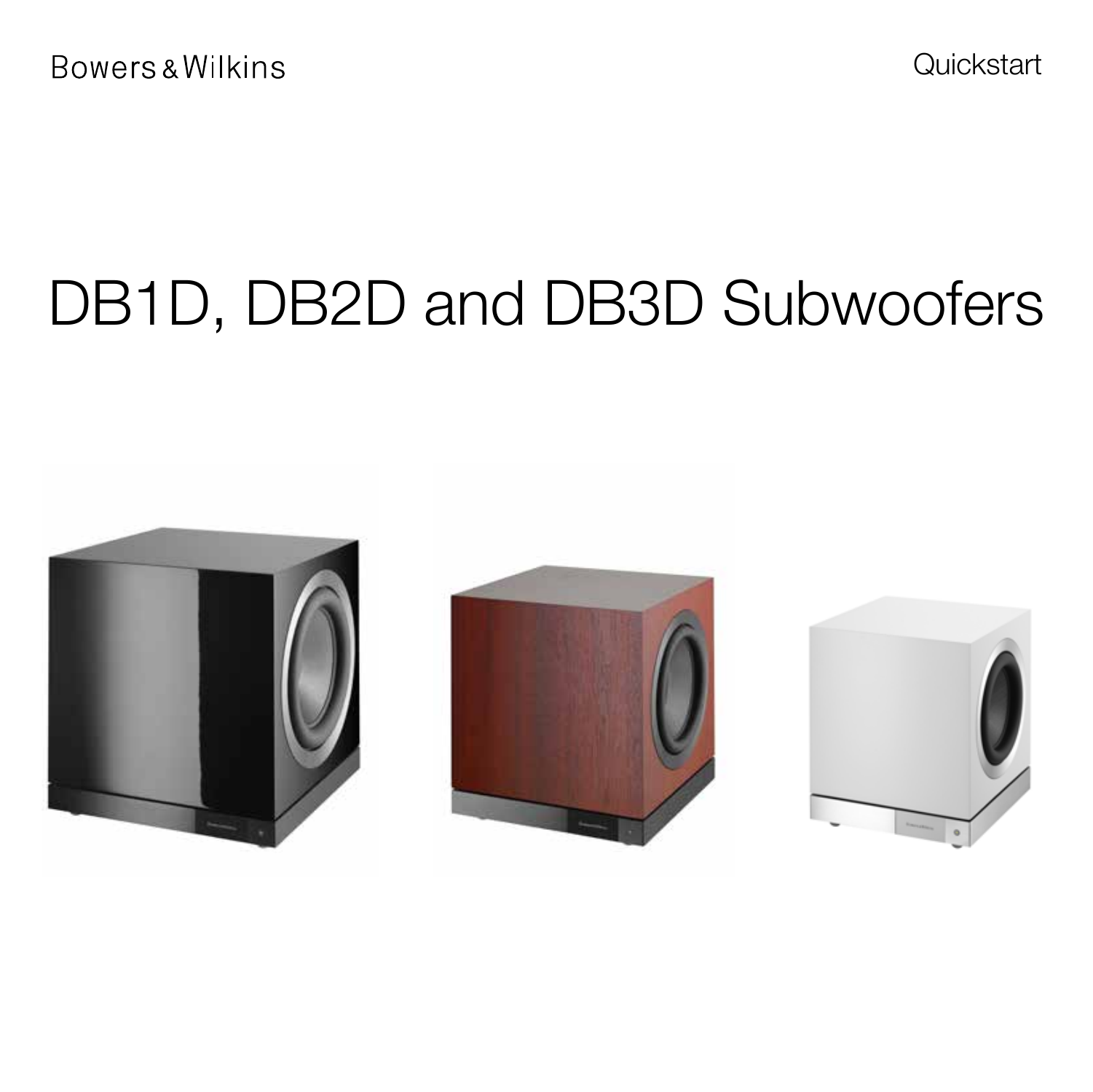**Quickstart** 

# DB1D, DB2D and DB3D Subwoofers





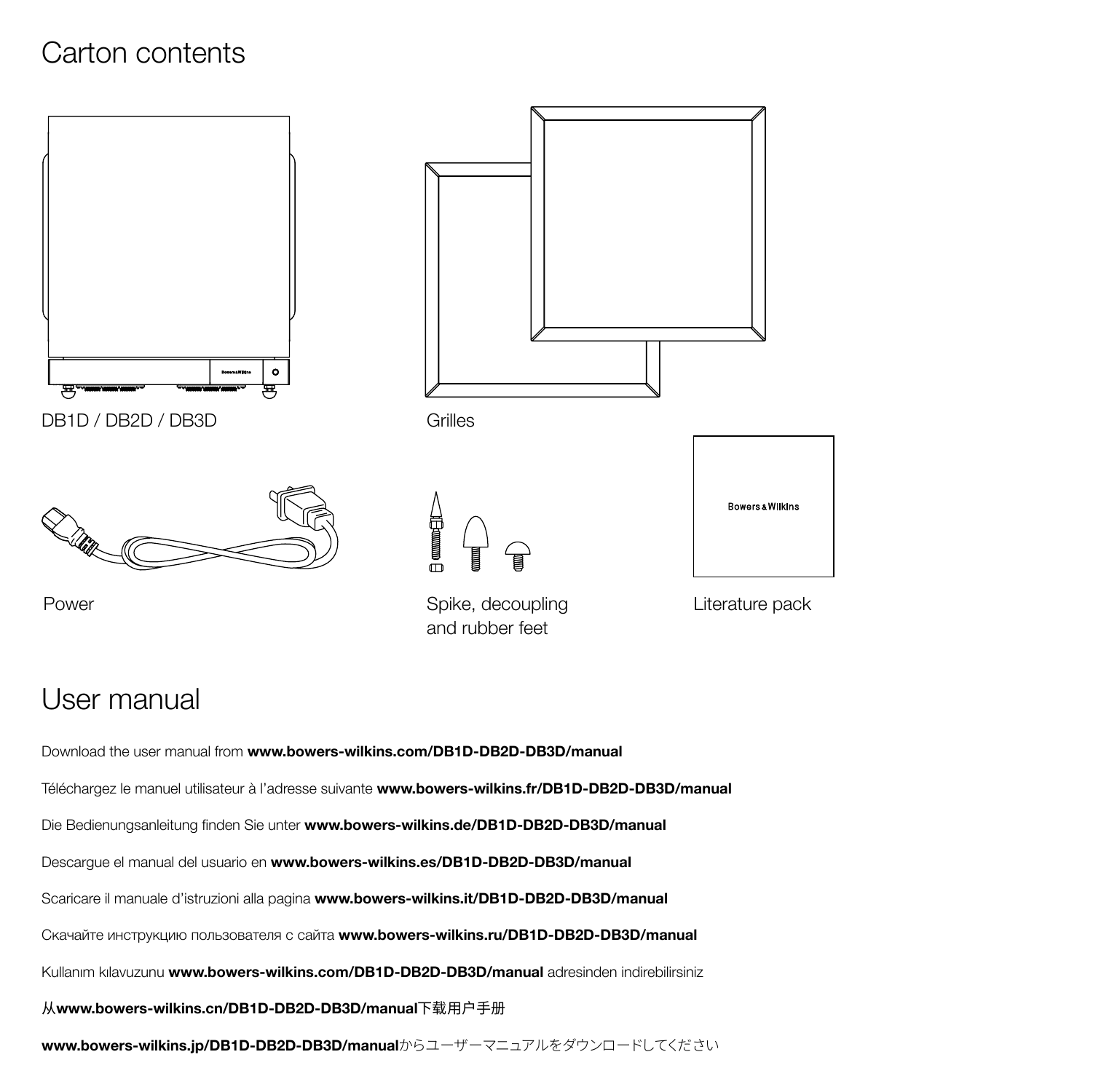## Carton contents



### User manual

Download the user manual from www.bowers-wilkins.com/DB1D-DB2D-DB3D/manual Téléchargez le manuel utilisateur à l'adresse suivante www.bowers-wilkins.fr/DB1D-DB2D-DB3D/manual Die Bedienungsanleitung finden Sie unter www.bowers-wilkins.de/DB1D-DB2D-DB3D/manual Descargue el manual del usuario en www.bowers-wilkins.es/DB1D-DB2D-DB3D/manual Scaricare il manuale d'istruzioni alla pagina www.bowers-wilkins.it/DB1D-DB2D-DB3D/manual Скачайте инструкцию пользователя с сайта www.bowers-wilkins.ru/DB1D-DB2D-DB3D/manual Kullanım kılavuzunu www.bowers-wilkins.com/DB1D-DB2D-DB3D/manual adresinden indirebilirsiniz 从www.bowers-wilkins.cn/DB1D-DB2D-DB3D/manual下载用户手册 www.bowers-wilkins.jp/DB1D-DB2D-DB3D/manualからユーザーマニュアルをダウンロードしてください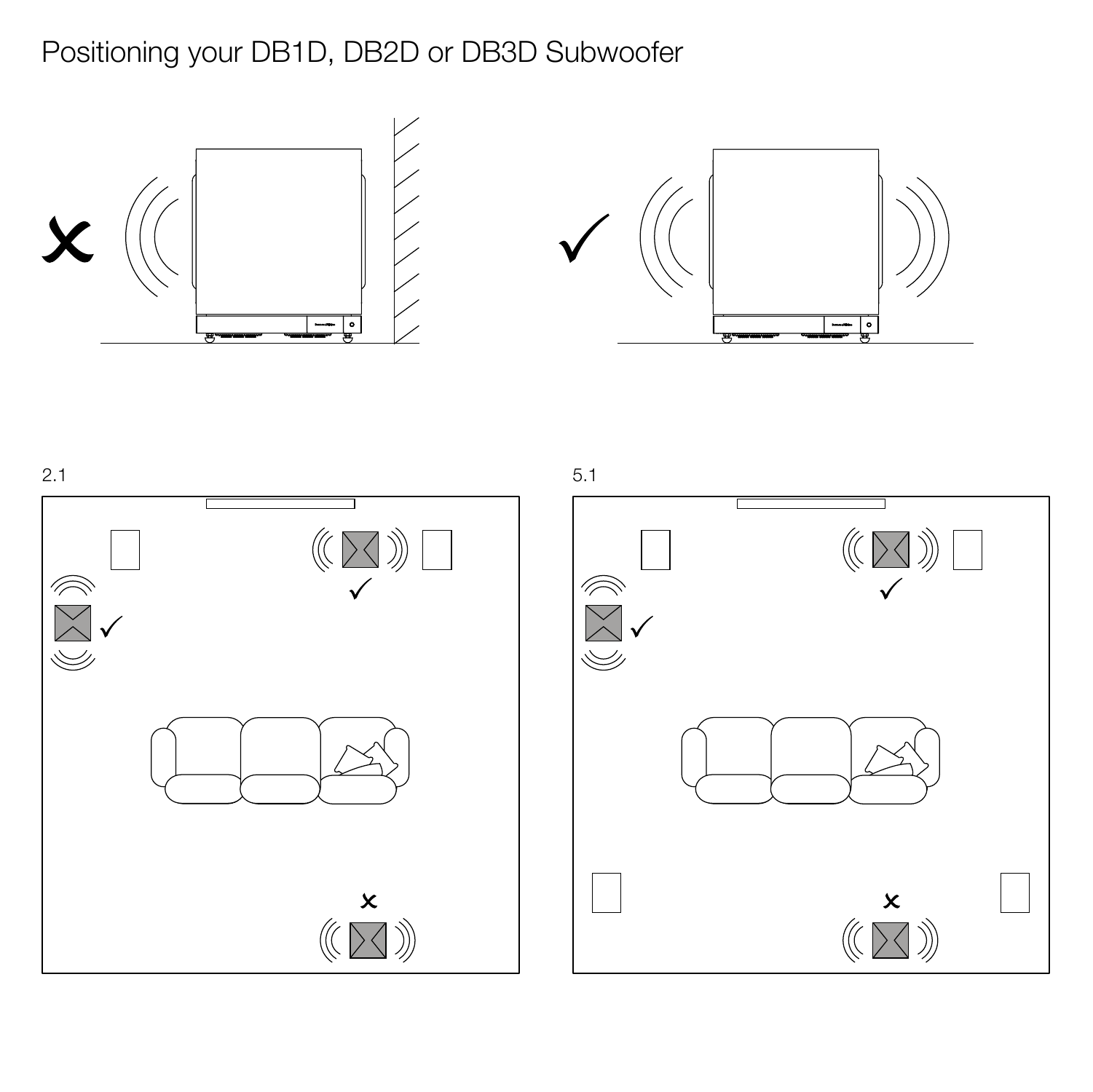Positioning your DB1D, DB2D or DB3D Subwoofer







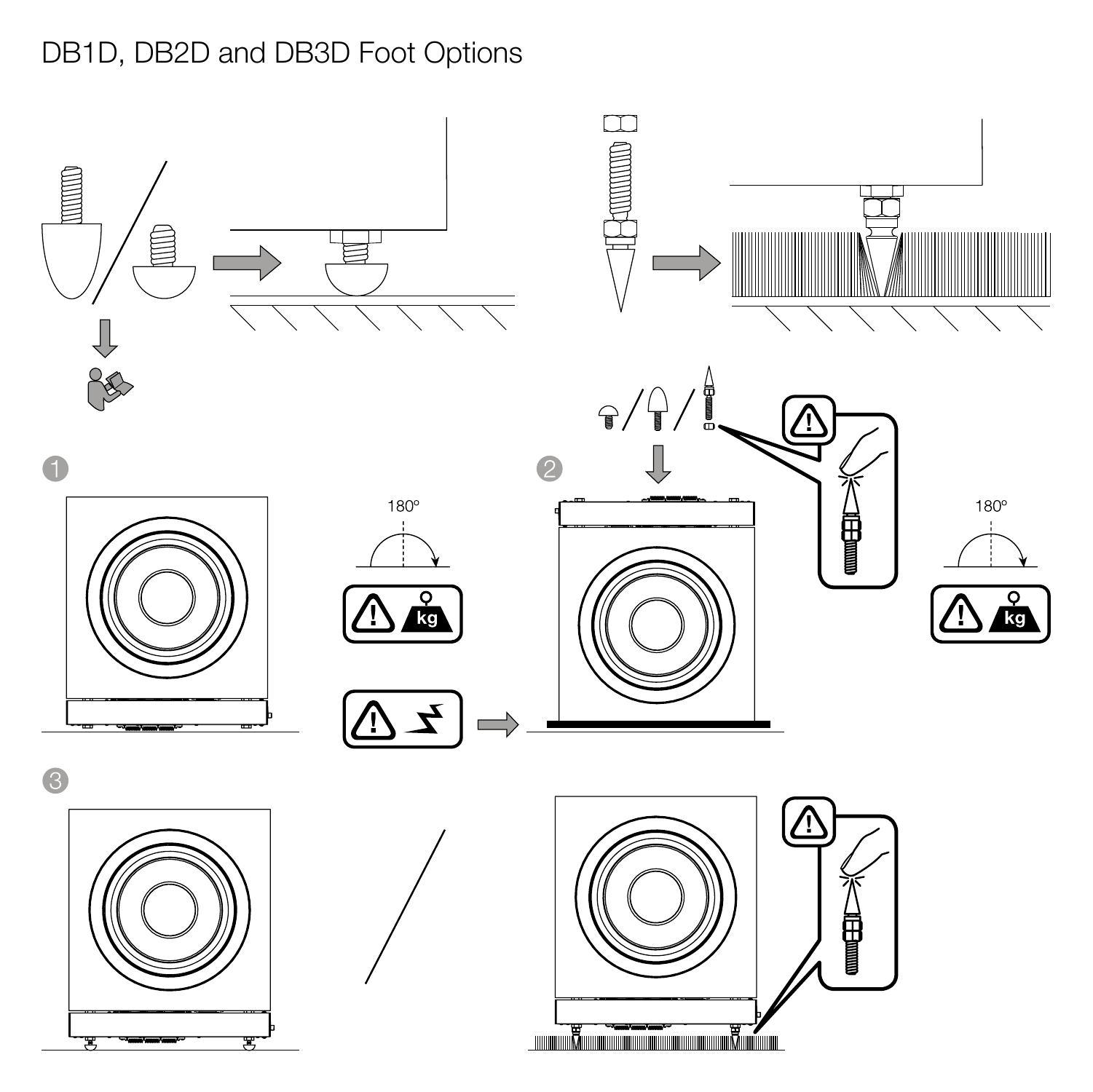# DB1D, DB2D and DB3D Foot Options

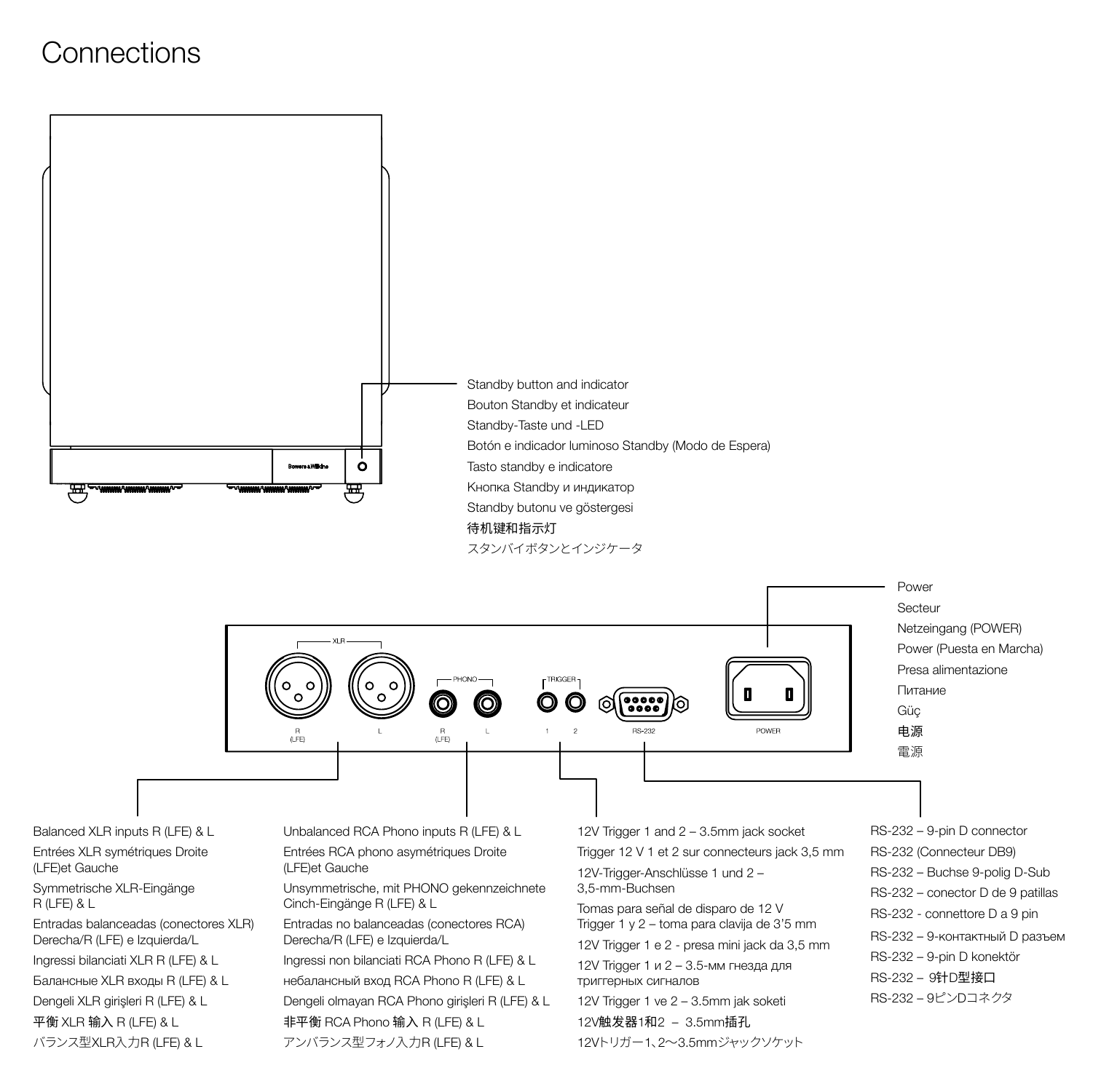### **Connections**



Балансные XLR входы R (LFE) & L Dengeli XLR girişleri R (LFE) & L 平衡 XLR 输入 R (LFE) & L

バランス型XLR入力R (LFE) & L

небалансный вход RCA Phono R (LFE) & L Dengeli olmayan RCA Phono girişleri R (LFE) & L 非平衡 RCA Phono 输入 R (LFE) & L アンバランス型フォノ入力R (LFE) & L

триггерных сигналов

12V Trigger 1 ve 2 – 3.5mm jak soketi 12V触发器1和2 – 3.5mm插孔 12Vトリガー1、2~3.5mmジャックソケット

Secteur Netzeingang (POWER) Power (Puesta en Marcha) Presa alimentazione Питание

- RS-232 Buchse 9-polig D-Sub RS-232 – conector D de 9 patillas RS-232 - connettore D a 9 pin RS-232 – 9-контактный D разъем
- 
- RS-232 9-pin D konektör
- RS-232 9针D型接口
- RS-232 9ピンDコネクタ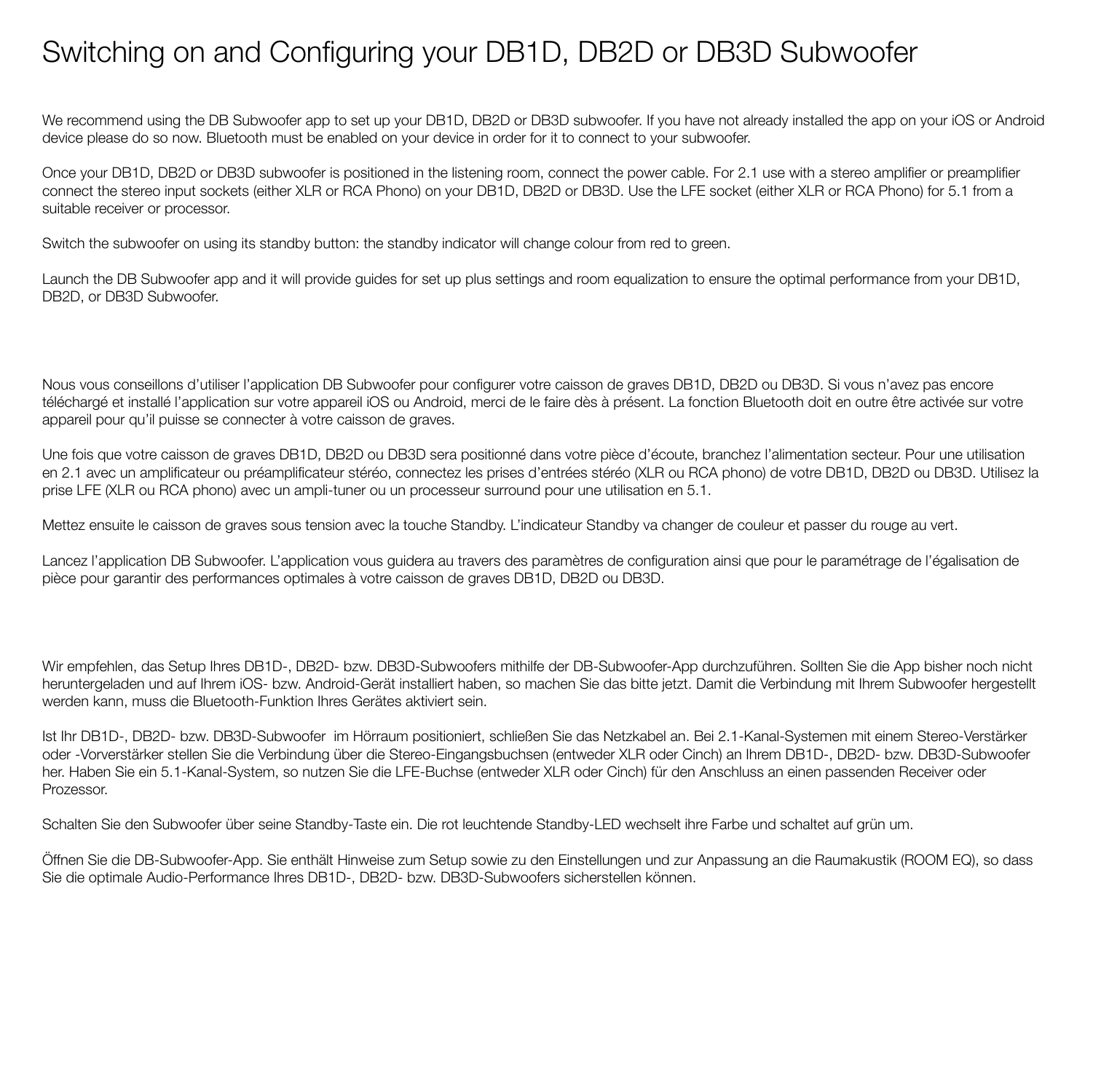## Switching on and Configuring your DB1D, DB2D or DB3D Subwoofer

We recommend using the DB Subwoofer app to set up your DB1D, DB2D or DB3D subwoofer. If you have not already installed the app on your iOS or Android device please do so now. Bluetooth must be enabled on your device in order for it to connect to your subwoofer.

Once your DB1D, DB2D or DB3D subwoofer is positioned in the listening room, connect the power cable. For 2.1 use with a stereo amplifier or preamplifier connect the stereo input sockets (either XLR or RCA Phono) on your DB1D, DB2D or DB3D. Use the LFE socket (either XLR or RCA Phono) for 5.1 from a suitable receiver or processor.

Switch the subwoofer on using its standby button: the standby indicator will change colour from red to green.

Launch the DB Subwoofer app and it will provide quides for set up plus settings and room equalization to ensure the optimal performance from your DB1D. DB2D, or DB3D Subwoofer

Nous vous conseillons d'utiliser l'application DB Subwoofer pour configurer votre caisson de graves DB1D, DB2D ou DB3D. Si vous n'avez pas encore téléchargé et installé l'application sur votre appareil iOS ou Android, merci de le faire dès à présent. La fonction Bluetooth doit en outre être activée sur votre appareil pour qu'il puisse se connecter à votre caisson de graves.

Une fois que votre caisson de graves DB1D, DB2D ou DB3D sera positionné dans votre pièce d'écoute, branchez l'alimentation secteur. Pour une utilisation en 2.1 avec un amplificateur ou préamplificateur stéréo, connectez les prises d'entrées stéréo (XLR ou RCA phono) de votre DB1D, DB2D ou DB3D. Utilisez la prise LFE (XLR ou RCA phono) avec un ampli-tuner ou un processeur surround pour une utilisation en 5.1.

Mettez ensuite le caisson de graves sous tension avec la touche Standby. L'indicateur Standby va changer de couleur et passer du rouge au vert.

Lancez l'application DB Subwoofer. L'application vous guidera au travers des paramètres de configuration ainsi que pour le paramétrage de l'égalisation de pièce pour garantir des performances optimales à votre caisson de graves DB1D, DB2D ou DB3D.

Wir empfehlen, das Setup Ihres DB1D-, DB2D- bzw. DB3D-Subwoofers mithilfe der DB-Subwoofer-App durchzuführen. Sollten Sie die App bisher noch nicht heruntergeladen und auf Ihrem iOS- bzw. Android-Gerät installiert haben, so machen Sie das bitte jetzt. Damit die Verbindung mit Ihrem Subwoofer hergestellt werden kann, muss die Bluetooth-Funktion Ihres Gerätes aktiviert sein.

Ist Ihr DB1D-, DB2D- bzw. DB3D-Subwoofer im Hörraum positioniert, schließen Sie das Netzkabel an. Bei 2.1-Kanal-Systemen mit einem Stereo-Verstärker oder -Vorverstärker stellen Sie die Verbindung über die Stereo-Eingangsbuchsen (entweder XLR oder Cinch) an Ihrem DB1D-, DB2D- bzw. DB3D-Subwoofer her. Haben Sie ein 5.1-Kanal-System, so nutzen Sie die LFE-Buchse (entweder XLR oder Cinch) für den Anschluss an einen passenden Receiver oder Prozessor.

Schalten Sie den Subwoofer über seine Standby-Taste ein. Die rot leuchtende Standby-LED wechselt ihre Farbe und schaltet auf grün um.

Öffnen Sie die DB-Subwoofer-App. Sie enthält Hinweise zum Setup sowie zu den Einstellungen und zur Anpassung an die Raumakustik (ROOM EQ), so dass Sie die optimale Audio-Performance Ihres DB1D-, DB2D- bzw. DB3D-Subwoofers sicherstellen können.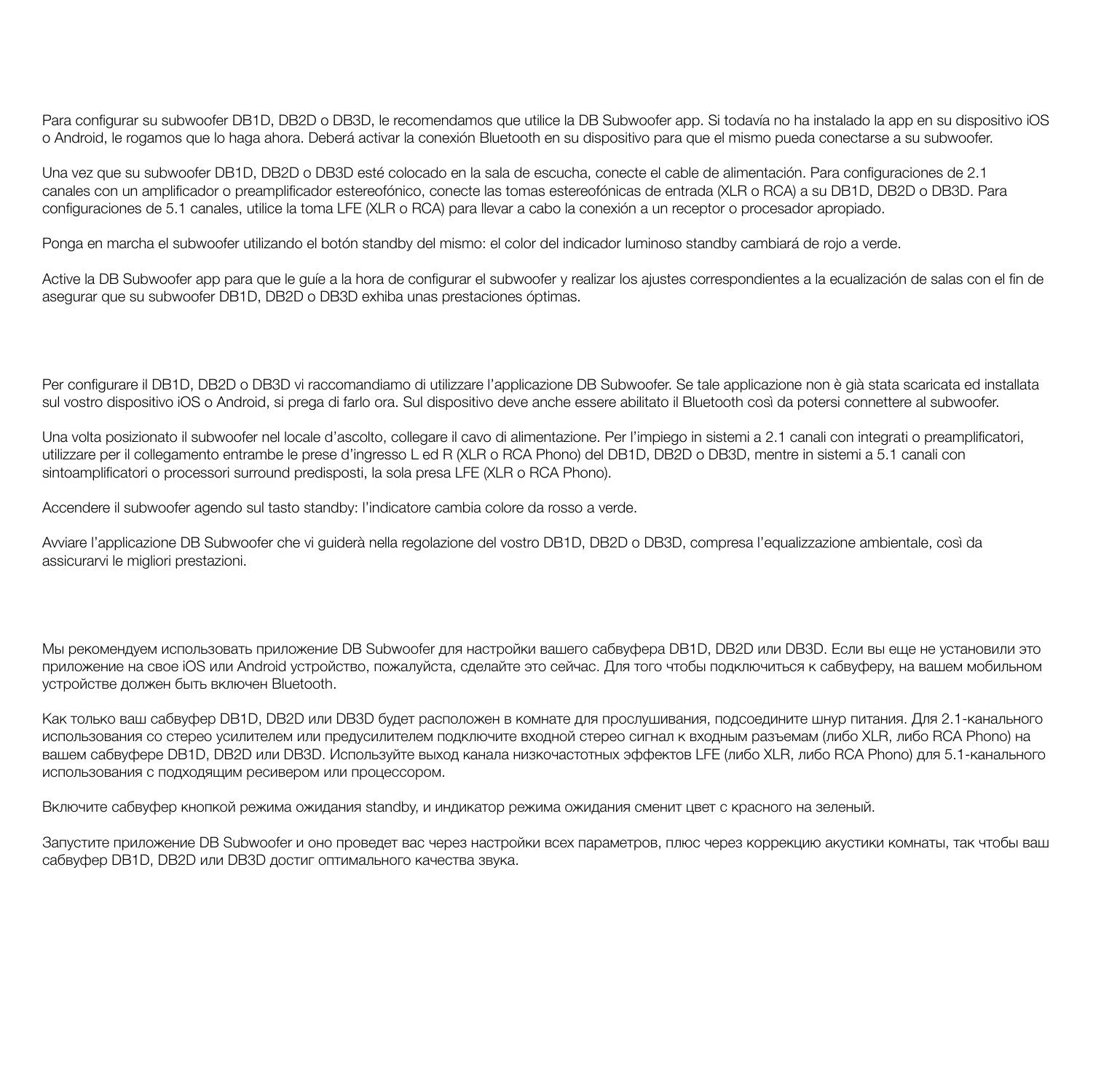Para configurar su subwoofer DB1D, DB2D o DB3D, le recomendamos que utilice la DB Subwoofer app. Si todavía no ha instalado la app en su dispositivo iOS o Android, le rogamos que lo haga ahora. Deberá activar la conexión Bluetooth en su dispositivo para que el mismo pueda conectarse a su subwoofer.

Una vez que su subwoofer DB1D, DB2D o DB3D esté colocado en la sala de escucha, conecte el cable de alimentación. Para configuraciones de 2.1 canales con un amplificador o preamplificador estereofónico, conecte las tomas estereofónicas de entrada (XLR o RCA) a su DB1D, DB2D o DB3D. Para configuraciones de 5.1 canales, utilice la toma LFE (XLR o RCA) para llevar a cabo la conexión a un receptor o procesador apropiado.

Ponga en marcha el subwoofer utilizando el botón standby del mismo: el color del indicador luminoso standby cambiará de rojo a verde.

Active la DB Subwoofer app para que le quíe a la hora de configurar el subwoofer y realizar los ajustes correspondientes a la ecualización de salas con el fin de asegurar que su subwoofer DB1D, DB2D o DB3D exhiba unas prestaciones óptimas.

Per configurare il DB1D, DB2D o DB3D vi raccomandiamo di utilizzare l'applicazione DB Subwoofer. Se tale applicazione non è già stata scaricata ed installata sul vostro dispositivo iOS o Android, si prega di farlo ora. Sul dispositivo deve anche essere abilitato il Bluetooth così da potersi connettere al subwoofer.

Una volta posizionato il subwoofer nel locale d'ascolto, collegare il cavo di alimentazione. Per l'impiego in sistemi a 2.1 canali con integrati o preamplificatori, utilizzare per il collegamento entrambe le prese d'ingresso L ed R (XLR o RCA Phono) del DB1D, DB2D o DB3D, mentre in sistemi a 5.1 canali con sintoamplificatori o processori surround predisposti, la sola presa LFE (XLR o RCA Phono).

Accendere il subwoofer agendo sul tasto standby: l'indicatore cambia colore da rosso a verde.

Avviare l'applicazione DB Subwoofer che vi guiderà nella regolazione del vostro DB1D, DB2D o DB3D, compresa l'equalizzazione ambientale, così da assicurarvi le migliori prestazioni.

Мы рекомендуем использовать приложение DB Subwoofer для настройки вашего сабвуфера DB1D, DB2D или DB3D. Если вы еще не установили это приложение на свое iOS или Android устройство, пожалуйста, сделайте это сейчас. Для того чтобы подключиться к сабвуферу, на вашем мобильном устройстве должен быть включен Bluetooth.

Как только ваш сабвуфер DB1D, DB2D или DB3D будет расположен в комнате для прослушивания, подсоедините шнур питания. Для 2.1-канального использования со стерео усилителем или предусилителем подключите входной стерео сигнал к входным разъемам (либо XLR, либо RCA Phono) на вашем сабвуфере DB1D, DB2D или DB3D. Используйте выход канала низкочастотных эффектов LFE (либо XLR, либо RCA Phono) для 5.1-канального использования с подходящим ресивером или процессором.

Включите сабвуфер кнопкой режима ожидания standby, и индикатор режима ожидания сменит цвет с красного на зеленый.

Запустите приложение DB Subwoofer и оно проведет вас через настройки всех параметров, плюс через коррекцию акустики комнаты, так чтобы ваш сабвуфер DB1D, DB2D или DB3D достиг оптимального качества звука.